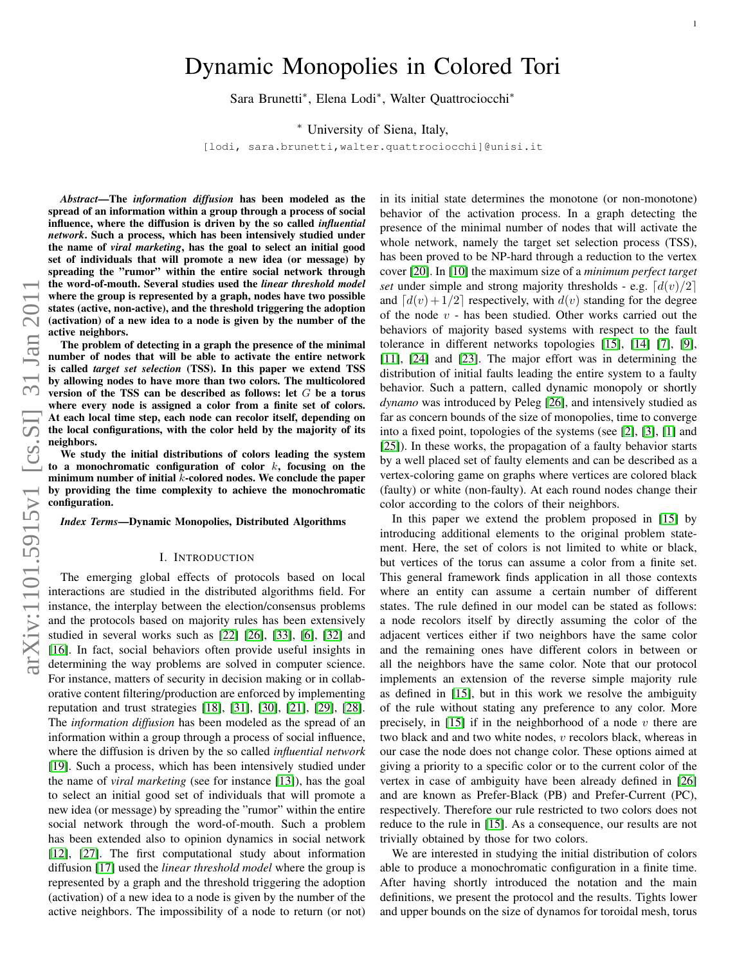# Dynamic Monopolies in Colored Tori

Sara Brunetti<sup>∗</sup> , Elena Lodi<sup>∗</sup> , Walter Quattrociocchi<sup>∗</sup>

<sup>∗</sup> University of Siena, Italy,

[lodi, sara.brunetti,walter.quattrociocchi]@unisi.it

*Abstract*—The *information diffusion* has been modeled as the spread of an information within a group through a process of social influence, where the diffusion is driven by the so called *influential network*. Such a process, which has been intensively studied under the name of *viral marketing*, has the goal to select an initial good set of individuals that will promote a new idea (or message) by spreading the "rumor" within the entire social network through the word-of-mouth. Several studies used the *linear threshold model* where the group is represented by a graph, nodes have two possible states (active, non-active), and the threshold triggering the adoption (activation) of a new idea to a node is given by the number of the active neighbors.

The problem of detecting in a graph the presence of the minimal number of nodes that will be able to activate the entire network is called *target set selection* (TSS). In this paper we extend TSS by allowing nodes to have more than two colors. The multicolored version of the TSS can be described as follows: let G be a torus where every node is assigned a color from a finite set of colors. At each local time step, each node can recolor itself, depending on the local configurations, with the color held by the majority of its neighbors.

We study the initial distributions of colors leading the system to a monochromatic configuration of color  $k$ , focusing on the minimum number of initial  $k$ -colored nodes. We conclude the paper by providing the time complexity to achieve the monochromatic configuration.

*Index Terms*—Dynamic Monopolies, Distributed Algorithms

# I. INTRODUCTION

The emerging global effects of protocols based on local interactions are studied in the distributed algorithms field. For instance, the interplay between the election/consensus problems and the protocols based on majority rules has been extensively studied in several works such as [\[22\]](#page-5-0) [\[26\]](#page-5-1), [\[33\]](#page-5-2), [\[6\]](#page-5-3), [\[32\]](#page-5-4) and [\[16\]](#page-5-5). In fact, social behaviors often provide useful insights in determining the way problems are solved in computer science. For instance, matters of security in decision making or in collaborative content filtering/production are enforced by implementing reputation and trust strategies [\[18\]](#page-5-6), [\[31\]](#page-5-7), [\[30\]](#page-5-8), [\[21\]](#page-5-9), [\[29\]](#page-5-10), [\[28\]](#page-5-11). The *information diffusion* has been modeled as the spread of an information within a group through a process of social influence, where the diffusion is driven by the so called *influential network* [\[19\]](#page-5-12). Such a process, which has been intensively studied under the name of *viral marketing* (see for instance [\[13\]](#page-5-13)), has the goal to select an initial good set of individuals that will promote a new idea (or message) by spreading the "rumor" within the entire social network through the word-of-mouth. Such a problem has been extended also to opinion dynamics in social network [\[12\]](#page-5-14), [\[27\]](#page-5-15). The first computational study about information diffusion [\[17\]](#page-5-16) used the *linear threshold model* where the group is represented by a graph and the threshold triggering the adoption (activation) of a new idea to a node is given by the number of the active neighbors. The impossibility of a node to return (or not) in its initial state determines the monotone (or non-monotone) behavior of the activation process. In a graph detecting the presence of the minimal number of nodes that will activate the whole network, namely the target set selection process (TSS), has been proved to be NP-hard through a reduction to the vertex cover [\[20\]](#page-5-17). In [\[10\]](#page-5-18) the maximum size of a *minimum perfect target set* under simple and strong majority thresholds - e.g.  $\left[ d(v)/2 \right]$ and  $\lceil d(v) + 1/2 \rceil$  respectively, with  $d(v)$  standing for the degree of the node  $v$  - has been studied. Other works carried out the behaviors of majority based systems with respect to the fault tolerance in different networks topologies [\[15\]](#page-5-19), [\[14\]](#page-5-20) [\[7\]](#page-5-21), [\[9\]](#page-5-22), [\[11\]](#page-5-23), [\[24\]](#page-5-24) and [\[23\]](#page-5-25). The major effort was in determining the distribution of initial faults leading the entire system to a faulty behavior. Such a pattern, called dynamic monopoly or shortly *dynamo* was introduced by Peleg [\[26\]](#page-5-1), and intensively studied as far as concern bounds of the size of monopolies, time to converge into a fixed point, topologies of the systems (see [\[2\]](#page-5-26), [\[3\]](#page-5-27), [\[1\]](#page-5-28) and [\[25\]](#page-5-29)). In these works, the propagation of a faulty behavior starts by a well placed set of faulty elements and can be described as a vertex-coloring game on graphs where vertices are colored black (faulty) or white (non-faulty). At each round nodes change their color according to the colors of their neighbors.

1

In this paper we extend the problem proposed in [\[15\]](#page-5-19) by introducing additional elements to the original problem statement. Here, the set of colors is not limited to white or black, but vertices of the torus can assume a color from a finite set. This general framework finds application in all those contexts where an entity can assume a certain number of different states. The rule defined in our model can be stated as follows: a node recolors itself by directly assuming the color of the adjacent vertices either if two neighbors have the same color and the remaining ones have different colors in between or all the neighbors have the same color. Note that our protocol implements an extension of the reverse simple majority rule as defined in [\[15\]](#page-5-19), but in this work we resolve the ambiguity of the rule without stating any preference to any color. More precisely, in  $[15]$  if in the neighborhood of a node v there are two black and and two white nodes, v recolors black, whereas in our case the node does not change color. These options aimed at giving a priority to a specific color or to the current color of the vertex in case of ambiguity have been already defined in [\[26\]](#page-5-1) and are known as Prefer-Black (PB) and Prefer-Current (PC), respectively. Therefore our rule restricted to two colors does not reduce to the rule in [\[15\]](#page-5-19). As a consequence, our results are not trivially obtained by those for two colors.

We are interested in studying the initial distribution of colors able to produce a monochromatic configuration in a finite time. After having shortly introduced the notation and the main definitions, we present the protocol and the results. Tights lower and upper bounds on the size of dynamos for toroidal mesh, torus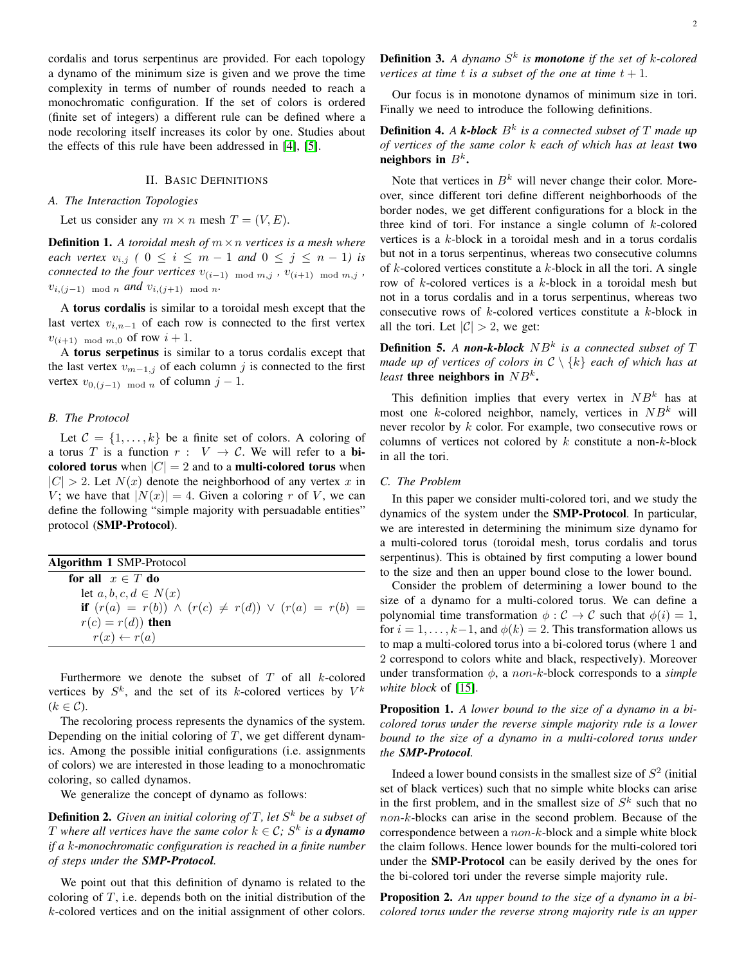cordalis and torus serpentinus are provided. For each topology a dynamo of the minimum size is given and we prove the time complexity in terms of number of rounds needed to reach a monochromatic configuration. If the set of colors is ordered (finite set of integers) a different rule can be defined where a node recoloring itself increases its color by one. Studies about the effects of this rule have been addressed in [\[4\]](#page-5-30), [\[5\]](#page-5-31).

## II. BASIC DEFINITIONS

## *A. The Interaction Topologies*

Let us consider any  $m \times n$  mesh  $T = (V, E)$ .

**Definition 1.** A toroidal mesh of  $m \times n$  vertices is a mesh where *each vertex*  $v_{i,j}$  *(*  $0 \le i \le m-1$  *and*  $0 \le j \le n-1$ *) is connected to the four vertices*  $v_{(i-1) \mod m, j}$ ,  $v_{(i+1) \mod m, j}$ ,  $v_{i,(j-1) \mod n}$  *and*  $v_{i,(j+1) \mod n}$ .

A torus cordalis is similar to a toroidal mesh except that the last vertex  $v_{i,n-1}$  of each row is connected to the first vertex  $v_{(i+1) \mod m, 0}$  of row  $i + 1$ .

A torus serpetinus is similar to a torus cordalis except that the last vertex  $v_{m-1,j}$  of each column j is connected to the first vertex  $v_{0,(j-1) \mod n}$  of column  $j-1$ .

### *B. The Protocol*

Let  $C = \{1, \ldots, k\}$  be a finite set of colors. A coloring of a torus T is a function  $r : V \to C$ . We will refer to a bicolored torus when  $|C| = 2$  and to a **multi-colored torus** when  $|C| > 2$ . Let  $N(x)$  denote the neighborhood of any vertex x in V; we have that  $|N(x)| = 4$ . Given a coloring r of V, we can define the following "simple majority with persuadable entities" protocol (SMP-Protocol).

| Algorithm 1 SMP-Protocol                                       |  |  |  |
|----------------------------------------------------------------|--|--|--|
| for all $x \in T$ do                                           |  |  |  |
| let $a, b, c, d \in N(x)$                                      |  |  |  |
| if $(r(a) = r(b)) \wedge (r(c) \neq r(d)) \vee (r(a) = r(b) =$ |  |  |  |
| $r(c) = r(d)$ then                                             |  |  |  |
| $r(x) \leftarrow r(a)$                                         |  |  |  |

Furthermore we denote the subset of  $T$  of all  $k$ -colored vertices by  $S^k$ , and the set of its k-colored vertices by  $V^k$  $(k \in \mathcal{C})$ .

The recoloring process represents the dynamics of the system. Depending on the initial coloring of  $T$ , we get different dynamics. Among the possible initial configurations (i.e. assignments of colors) we are interested in those leading to a monochromatic coloring, so called dynamos.

We generalize the concept of dynamo as follows:

**Definition 2.** Given an initial coloring of T, let  $S^k$  be a subset of T where all vertices have the same color  $k \in \mathcal{C}$ ;  $S^k$  is a **dynamo** *if a* k*-monochromatic configuration is reached in a finite number of steps under the SMP-Protocol.*

We point out that this definition of dynamo is related to the coloring of  $T$ , i.e. depends both on the initial distribution of the k-colored vertices and on the initial assignment of other colors. Definition 3. *A dynamo* S k *is monotone if the set of* k*-colored vertices at time t is a subset of the one at time*  $t + 1$ *.* 

Our focus is in monotone dynamos of minimum size in tori. Finally we need to introduce the following definitions.

# **Definition 4.** A k-block  $B^k$  is a connected subset of T made up *of vertices of the same color* k *each of which has at least* two neighbors in  $B^k$ .

Note that vertices in  $B^k$  will never change their color. Moreover, since different tori define different neighborhoods of the border nodes, we get different configurations for a block in the three kind of tori. For instance a single column of  $k$ -colored vertices is a k-block in a toroidal mesh and in a torus cordalis but not in a torus serpentinus, whereas two consecutive columns of  $k$ -colored vertices constitute a  $k$ -block in all the tori. A single row of k-colored vertices is a k-block in a toroidal mesh but not in a torus cordalis and in a torus serpentinus, whereas two consecutive rows of k-colored vertices constitute a k-block in all the tori. Let  $|\mathcal{C}| > 2$ , we get:

**Definition 5.** A non-k-block  $NB^k$  is a connected subset of T *made up of vertices of colors in* C \ {k} *each of which has at least* **three neighbors in**  $NB^k$ .

This definition implies that every vertex in  $NB^k$  has at most one k-colored neighbor, namely, vertices in  $NB^k$  will never recolor by  $k$  color. For example, two consecutive rows or columns of vertices not colored by  $k$  constitute a non- $k$ -block in all the tori.

## *C. The Problem*

In this paper we consider multi-colored tori, and we study the dynamics of the system under the SMP-Protocol. In particular, we are interested in determining the minimum size dynamo for a multi-colored torus (toroidal mesh, torus cordalis and torus serpentinus). This is obtained by first computing a lower bound to the size and then an upper bound close to the lower bound.

Consider the problem of determining a lower bound to the size of a dynamo for a multi-colored torus. We can define a polynomial time transformation  $\phi : \mathcal{C} \to \mathcal{C}$  such that  $\phi(i) = 1$ , for  $i = 1, \ldots, k-1$ , and  $\phi(k) = 2$ . This transformation allows us to map a multi-colored torus into a bi-colored torus (where 1 and 2 correspond to colors white and black, respectively). Moreover under transformation  $\phi$ , a *non-k*-block corresponds to a *simple white block* of [\[15\]](#page-5-19).

Proposition 1. *A lower bound to the size of a dynamo in a bicolored torus under the reverse simple majority rule is a lower bound to the size of a dynamo in a multi-colored torus under the SMP-Protocol.*

Indeed a lower bound consists in the smallest size of  $S<sup>2</sup>$  (initial set of black vertices) such that no simple white blocks can arise in the first problem, and in the smallest size of  $S<sup>k</sup>$  such that no non-k-blocks can arise in the second problem. Because of the correspondence between a non-k-block and a simple white block the claim follows. Hence lower bounds for the multi-colored tori under the SMP-Protocol can be easily derived by the ones for the bi-colored tori under the reverse simple majority rule.

<span id="page-1-0"></span>Proposition 2. *An upper bound to the size of a dynamo in a bicolored torus under the reverse strong majority rule is an upper*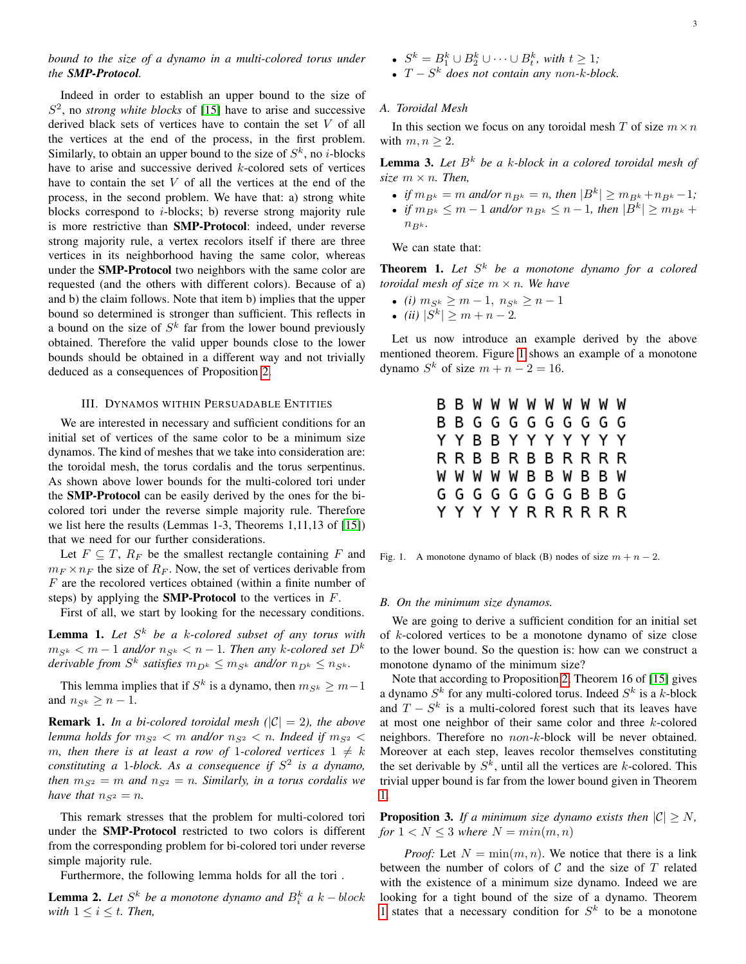# *bound to the size of a dynamo in a multi-colored torus under the SMP-Protocol.*

Indeed in order to establish an upper bound to the size of  $S<sup>2</sup>$ , no *strong white blocks* of [\[15\]](#page-5-19) have to arise and successive derived black sets of vertices have to contain the set V of all the vertices at the end of the process, in the first problem. Similarly, to obtain an upper bound to the size of  $S^k$ , no *i*-blocks have to arise and successive derived k-colored sets of vertices have to contain the set  $V$  of all the vertices at the end of the process, in the second problem. We have that: a) strong white blocks correspond to i-blocks; b) reverse strong majority rule is more restrictive than SMP-Protocol: indeed, under reverse strong majority rule, a vertex recolors itself if there are three vertices in its neighborhood having the same color, whereas under the SMP-Protocol two neighbors with the same color are requested (and the others with different colors). Because of a) and b) the claim follows. Note that item b) implies that the upper bound so determined is stronger than sufficient. This reflects in a bound on the size of  $S^k$  far from the lower bound previously obtained. Therefore the valid upper bounds close to the lower bounds should be obtained in a different way and not trivially deduced as a consequences of Proposition [2.](#page-1-0)

### III. DYNAMOS WITHIN PERSUADABLE ENTITIES

We are interested in necessary and sufficient conditions for an initial set of vertices of the same color to be a minimum size dynamos. The kind of meshes that we take into consideration are: the toroidal mesh, the torus cordalis and the torus serpentinus. As shown above lower bounds for the multi-colored tori under the SMP-Protocol can be easily derived by the ones for the bicolored tori under the reverse simple majority rule. Therefore we list here the results (Lemmas 1-3, Theorems 1,11,13 of [\[15\]](#page-5-19)) that we need for our further considerations.

Let  $F \subseteq T$ ,  $R_F$  be the smallest rectangle containing F and  $m_F \times n_F$  the size of  $R_F$ . Now, the set of vertices derivable from F are the recolored vertices obtained (within a finite number of steps) by applying the **SMP-Protocol** to the vertices in  $F$ .

First of all, we start by looking for the necessary conditions.

Lemma 1. Let  $S^k$  be a k-colored subset of any torus with  $m_{S^k} < m - 1$  and/or  $n_{S^k} < n - 1$ . Then any k-colored set  $D^k$ *derivable from*  $S^k$  *satisfies*  $m_{D^k} \leq m_{S^k}$  *and/or*  $n_{D^k} \leq n_{S^k}$ *.* 

This lemma implies that if  $S^k$  is a dynamo, then  $m_{S^k} \geq m-1$ and  $n_{S_k} > n - 1$ .

<span id="page-2-2"></span>**Remark 1.** *In a bi-colored toroidal mesh*  $(|C| = 2)$ *, the above lemma holds for*  $m_{S^2} < m$  *and/or*  $n_{S^2} < n$ *. Indeed if*  $m_{S^2} <$ m, then there is at least a row of 1-colored vertices  $1 \neq k$ *constituting a* 1*-block. As a consequence if* S 2 *is a dynamo, then*  $m_{S^2} = m$  *and*  $n_{S^2} = n$ *. Similarly, in a torus cordalis we have that*  $n_{S^2} = n$ *.* 

This remark stresses that the problem for multi-colored tori under the SMP-Protocol restricted to two colors is different from the corresponding problem for bi-colored tori under reverse simple majority rule.

Furthermore, the following lemma holds for all the tori .

<span id="page-2-3"></span>**Lemma 2.** Let  $S^k$  be a monotone dynamo and  $B_i^k$  a  $k - block$ *with*  $1 \leq i \leq t$ *. Then,* 

•  $S^k = B_1^k \cup B_2^k \cup \cdots \cup B_t^k$ , with  $t \geq 1$ ;

• T − S <sup>k</sup> *does not contain any* non*-*k*-block.*

#### *A. Toroidal Mesh*

In this section we focus on any toroidal mesh T of size  $m \times n$ with  $m, n \geq 2$ .

**Lemma 3.** Let  $B^k$  be a k-block in a colored toroidal mesh of *size*  $m \times n$ *. Then,* 

- *if*  $m_{B^k} = m$  *and/or*  $n_{B^k} = n$ *, then*  $|B^k| \ge m_{B^k} + n_{B^k} 1$ *;*
- *if*  $m_{B^k} \le m 1$  *and/or*  $n_{B^k} \le n 1$ *, then*  $|B^k| \ge m_{B^k} +$  $n_{Bk}$ .

We can state that:

<span id="page-2-1"></span>Theorem 1. *Let* S <sup>k</sup> *be a monotone dynamo for a colored toroidal mesh of size*  $m \times n$ *. We have* 

- *(i)*  $m_{S^k} \ge m 1, n_{S^k} \ge n 1$
- *(ii)*  $|S^k| \ge m + n 2$ .

Let us now introduce an example derived by the above mentioned theorem. Figure [1](#page-2-0) shows an example of a monotone dynamo  $S^k$  of size  $m + n - 2 = 16$ .

|  |  |  |  |  | <b>B B W W W W W W W W</b> |  |
|--|--|--|--|--|----------------------------|--|
|  |  |  |  |  | B B G G G G G G G G G      |  |
|  |  |  |  |  | Y Y B B Y Y Y Y Y Y Y      |  |
|  |  |  |  |  | R R B B R B B R R R R      |  |
|  |  |  |  |  | w w w w w B B w B B w      |  |
|  |  |  |  |  | G G G G G G G G B B G      |  |
|  |  |  |  |  | Y Y Y Y Y R R R R R R      |  |
|  |  |  |  |  |                            |  |

<span id="page-2-0"></span>Fig. 1. A monotone dynamo of black (B) nodes of size  $m + n - 2$ .

#### *B. On the minimum size dynamos.*

We are going to derive a sufficient condition for an initial set of k-colored vertices to be a monotone dynamo of size close to the lower bound. So the question is: how can we construct a monotone dynamo of the minimum size?

Note that according to Proposition [2,](#page-1-0) Theorem 16 of [\[15\]](#page-5-19) gives a dynamo  $S^k$  for any multi-colored torus. Indeed  $S^k$  is a k-block and  $T - S^k$  is a multi-colored forest such that its leaves have at most one neighbor of their same color and three k-colored neighbors. Therefore no non-k-block will be never obtained. Moreover at each step, leaves recolor themselves constituting the set derivable by  $S^k$ , until all the vertices are k-colored. This trivial upper bound is far from the lower bound given in Theorem [1.](#page-2-1)

<span id="page-2-4"></span>**Proposition 3.** *If a minimum size dynamo exists then*  $|C| \geq N$ , *for*  $1 < N < 3$  *where*  $N = min(m, n)$ 

*Proof:* Let  $N = \min(m, n)$ . We notice that there is a link between the number of colors of  $C$  and the size of  $T$  related with the existence of a minimum size dynamo. Indeed we are looking for a tight bound of the size of a dynamo. Theorem [1](#page-2-1) states that a necessary condition for  $S<sup>k</sup>$  to be a monotone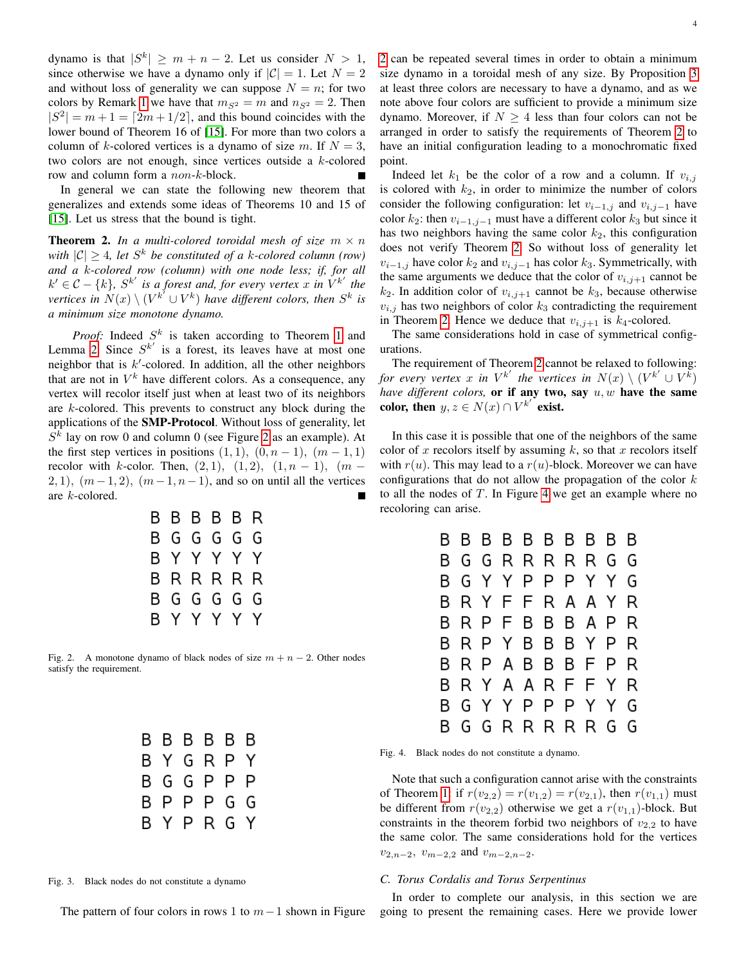dynamo is that  $|S^k| \ge m + n - 2$ . Let us consider  $N > 1$ , since otherwise we have a dynamo only if  $|C| = 1$ . Let  $N = 2$ and without loss of generality we can suppose  $N = n$ ; for two colors by Remark [1](#page-2-2) we have that  $m_{S^2} = m$  and  $n_{S^2} = 2$ . Then  $|S^2| = m + 1 = \lfloor 2m + 1/2 \rfloor$ , and this bound coincides with the lower bound of Theorem 16 of [\[15\]](#page-5-19). For more than two colors a column of k-colored vertices is a dynamo of size m. If  $N = 3$ , two colors are not enough, since vertices outside a k-colored row and column form a non-k-block.

In general we can state the following new theorem that generalizes and extends some ideas of Theorems 10 and 15 of [\[15\]](#page-5-19). Let us stress that the bound is tight.

<span id="page-3-1"></span>**Theorem 2.** In a multi-colored toroidal mesh of size  $m \times n$ *with*  $|C| \geq 4$ , let  $S^k$  be constituted of a k-colored column (row) *and a* k*-colored row (column) with one node less; if, for all*  $k' \in \mathcal{C} - \{k\}, S^{k'}$  is a forest and, for every vertex x in  $V^{k'}$  the *vertices in*  $N(x) \setminus (V^{k^{\gamma}} \cup V^{k})$  *have different colors, then*  $S^{k}$  *is a minimum size monotone dynamo.*

*Proof:* Indeed  $S^k$  is taken according to Theorem [1](#page-2-1) and Lemma [2.](#page-2-3) Since  $S^{k'}$  is a forest, its leaves have at most one neighbor that is  $k'$ -colored. In addition, all the other neighbors that are not in  $V^k$  have different colors. As a consequence, any vertex will recolor itself just when at least two of its neighbors are  $k$ -colored. This prevents to construct any block during the applications of the SMP-Protocol. Without loss of generality, let  $S<sup>k</sup>$  lay on row 0 and column 0 (see Figure [2](#page-3-0) as an example). At the first step vertices in positions  $(1, 1)$ ,  $(0, n - 1)$ ,  $(m - 1, 1)$ recolor with k-color. Then,  $(2, 1)$ ,  $(1, 2)$ ,  $(1, n - 1)$ ,  $(m -$ 2, 1),  $(m-1, 2)$ ,  $(m-1, n-1)$ , and so on until all the vertices are k-colored.

| B B B B B R |  |             |  |
|-------------|--|-------------|--|
| B G G G G G |  |             |  |
| ΒΥΥΥΥΥ      |  |             |  |
| BRRRRR      |  |             |  |
| B G G G G G |  |             |  |
|             |  | B Y Y Y Y Y |  |

<span id="page-3-0"></span>Fig. 2. A monotone dynamo of black nodes of size  $m + n - 2$ . Other nodes satisfy the requirement.

|  | BBBBBB      |  |
|--|-------------|--|
|  | B Y G R P Y |  |
|  | B G G P P P |  |
|  | B P P P G G |  |
|  | B Y P R G Y |  |

Fig. 3. Black nodes do not constitute a dynamo

The pattern of four colors in rows 1 to  $m-1$  shown in Figure

[2](#page-3-0) can be repeated several times in order to obtain a minimum size dynamo in a toroidal mesh of any size. By Proposition [3](#page-2-4) at least three colors are necessary to have a dynamo, and as we note above four colors are sufficient to provide a minimum size dynamo. Moreover, if  $N \geq 4$  less than four colors can not be arranged in order to satisfy the requirements of Theorem [2](#page-3-1) to have an initial configuration leading to a monochromatic fixed point.

Indeed let  $k_1$  be the color of a row and a column. If  $v_{i,j}$ is colored with  $k_2$ , in order to minimize the number of colors consider the following configuration: let  $v_{i-1,j}$  and  $v_{i,j-1}$  have color  $k_2$ : then  $v_{i-1,j-1}$  must have a different color  $k_3$  but since it has two neighbors having the same color  $k_2$ , this configuration does not verify Theorem [2.](#page-3-1) So without loss of generality let  $v_{i-1,j}$  have color  $k_2$  and  $v_{i,j-1}$  has color  $k_3$ . Symmetrically, with the same arguments we deduce that the color of  $v_{i,j+1}$  cannot be  $k_2$ . In addition color of  $v_{i,j+1}$  cannot be  $k_3$ , because otherwise  $v_{i,j}$  has two neighbors of color  $k_3$  contradicting the requirement in Theorem [2.](#page-3-1) Hence we deduce that  $v_{i,j+1}$  is  $k_4$ -colored.

The same considerations hold in case of symmetrical configurations.

The requirement of Theorem [2](#page-3-1) cannot be relaxed to following: for every vertex x in  $V^{k'}$  the vertices in  $N(x) \setminus (V^{k'} \cup V^{k'})$ *have different colors,* or if any two, say  $u, w$  have the same color, then  $y, z \in N(x) \cap V^{k'}$  exist.

In this case it is possible that one of the neighbors of the same color of x recolors itself by assuming  $k$ , so that x recolors itself with  $r(u)$ . This may lead to a  $r(u)$ -block. Moreover we can have configurations that do not allow the propagation of the color  $k$ to all the nodes of  $T$ . In Figure [4](#page-3-2) we get an example where no recoloring can arise.

| R |   |     | B B B B B B B B |           |         |     |   | B |
|---|---|-----|-----------------|-----------|---------|-----|---|---|
| В | G | G   |                 | RRRR      |         | R G |   | G |
| в |   |     | G Y Y P         |           | РРҮҮ    |     |   | G |
| R |   |     | RYFF            |           | R A A Y |     |   | R |
| R |   |     | RPFB            |           | ВВАР    |     |   | R |
| R |   |     | R P Y B B B Y P |           |         |     |   | R |
| в |   | R P |                 | A B B B F |         |     | P | R |
| R |   |     | R Y A A R F     |           |         | F.  | Y | R |
|   |   | GY. |                 | YPP       |         | PYY |   | G |
|   | G | G   |                 | RRRR      |         | R   | G | G |
|   |   |     |                 |           |         |     |   |   |

<span id="page-3-2"></span>Fig. 4. Black nodes do not constitute a dynamo.

Note that such a configuration cannot arise with the constraints of Theorem [1:](#page-2-1) if  $r(v_{2,2}) = r(v_{1,2}) = r(v_{2,1})$ , then  $r(v_{1,1})$  must be different from  $r(v_{2,2})$  otherwise we get a  $r(v_{1,1})$ -block. But constraints in the theorem forbid two neighbors of  $v_{2,2}$  to have the same color. The same considerations hold for the vertices  $v_{2,n-2}, v_{m-2,2}$  and  $v_{m-2,n-2}$ .

#### *C. Torus Cordalis and Torus Serpentinus*

In order to complete our analysis, in this section we are going to present the remaining cases. Here we provide lower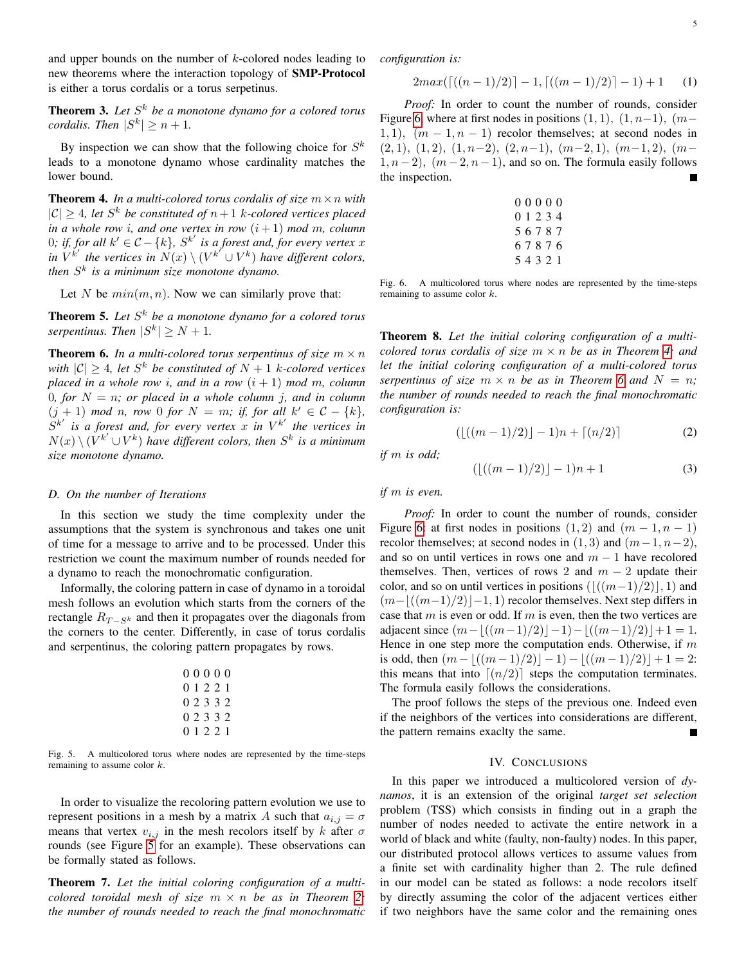and upper bounds on the number of  $k$ -colored nodes leading to new theorems where the interaction topology of SMP-Protocol is either a torus cordalis or a torus serpetinus.

**Theorem 3.** Let  $S^k$  be a monotone dynamo for a colored torus *cordalis. Then*  $|S^k| \geq n+1$ *.* 

By inspection we can show that the following choice for  $S^k$ leads to a monotone dynamo whose cardinality matches the lower bound.

<span id="page-4-2"></span>**Theorem 4.** In a multi-colored torus cordalis of size  $m \times n$  with  $|C| \geq 4$ , let S<sup>k</sup> be constituted of  $n+1$  k-colored vertices placed *in a whole row i, and one vertex in row*  $(i + 1)$  *mod m, column* 0; if, for all  $k' \in \mathcal{C} - \{k\}$ ,  $S^{k'}$  is a forest and, for every vertex x in  $V^{k'}$  the vertices in  $N(x) \setminus (V^{k'} \cup V^k)$  have different colors, *then* S k *is a minimum size monotone dynamo.*

Let N be  $min(m, n)$ . Now we can similarly prove that:

**Theorem 5.** Let  $S^k$  be a monotone dynamo for a colored torus *serpentinus. Then*  $|S^k| \geq N + 1$ *.* 

<span id="page-4-3"></span>**Theorem 6.** In a multi-colored torus serpentinus of size  $m \times n$ *with*  $|C| \geq 4$ , let  $S^k$  be constituted of  $N + 1$  k-colored vertices *placed in a whole row i, and in a row*  $(i + 1)$  *mod m, column* 0*, for*  $N = n$ ; or placed in a whole column j, and in column  $(j + 1)$  *mod n, row* 0 *for*  $N = m$ ; *if, for all*  $k' \in C - \{k\}$ ,  $S^{k'}$  is a forest and, for every vertex x in  $V^{k'}$  the vertices in  $N(x) \setminus (V^{k'} \cup V^k)$  have different colors, then  $S^k$  is a minimum *size monotone dynamo.*

### *D. On the number of Iterations*

In this section we study the time complexity under the assumptions that the system is synchronous and takes one unit of time for a message to arrive and to be processed. Under this restriction we count the maximum number of rounds needed for a dynamo to reach the monochromatic configuration.

Informally, the coloring pattern in case of dynamo in a toroidal mesh follows an evolution which starts from the corners of the rectangle  $R_{T-S^k}$  and then it propagates over the diagonals from the corners to the center. Differently, in case of torus cordalis and serpentinus, the coloring pattern propagates by rows.

| 00000     |  |  |  |
|-----------|--|--|--|
| 0 1 2 2 1 |  |  |  |
| 0 2 3 3 2 |  |  |  |
| 0 2 3 3 2 |  |  |  |
| 0 1 2 2 1 |  |  |  |

<span id="page-4-0"></span>Fig. 5. A multicolored torus where nodes are represented by the time-steps remaining to assume color k.

In order to visualize the recoloring pattern evolution we use to represent positions in a mesh by a matrix A such that  $a_{i,j} = \sigma$ means that vertex  $v_{i,j}$  in the mesh recolors itself by k after  $\sigma$ rounds (see Figure [5](#page-4-0) for an example). These observations can be formally stated as follows.

Theorem 7. *Let the initial coloring configuration of a multicolored toroidal mesh of size*  $m \times n$  *be as in Theorem [2;](#page-3-1) the number of rounds needed to reach the final monochromatic* *configuration is:*

$$
2max(\lceil ((n-1)/2) \rceil - 1, \lceil ((m-1)/2) \rceil - 1) + 1 \qquad (1)
$$

*Proof:* In order to count the number of rounds, consider Figure [6,](#page-4-1) where at first nodes in positions  $(1, 1)$ ,  $(1, n-1)$ ,  $(m-$ 1, 1),  $(m-1, n-1)$  recolor themselves; at second nodes in  $(2, 1), (1, 2), (1, n-2), (2, n-1), (m-2, 1), (m-1, 2), (m-1)$  $1, n-2$ ),  $(m-2, n-1)$ , and so on. The formula easily follows the inspection. П

| 00000     |  |  |
|-----------|--|--|
| 0 1 2 3 4 |  |  |
| 56787     |  |  |
| 67876     |  |  |
| 54321     |  |  |

<span id="page-4-1"></span>Fig. 6. A multicolored torus where nodes are represented by the time-steps remaining to assume color  $k$ .

Theorem 8. *Let the initial coloring configuration of a multicolored torus cordalis of size*  $m \times n$  *be as in Theorem [4;](#page-4-2) and let the initial coloring configuration of a multi-colored torus serpentinus of size*  $m \times n$  *be as in Theorem [6](#page-4-3) and*  $N = n$ ; *the number of rounds needed to reach the final monochromatic configuration is:*

$$
(\lfloor ((m-1)/2) \rfloor - 1)n + \lceil (n/2) \rceil \tag{2}
$$

*if* m *is odd;*

$$
(\lfloor ((m-1)/2) \rfloor - 1)n + 1 \tag{3}
$$

*if* m *is even.*

*Proof:* In order to count the number of rounds, consider Figure [6:](#page-4-1) at first nodes in positions  $(1, 2)$  and  $(m - 1, n - 1)$ recolor themselves; at second nodes in  $(1, 3)$  and  $(m-1, n-2)$ , and so on until vertices in rows one and  $m - 1$  have recolored themselves. Then, vertices of rows 2 and  $m - 2$  update their color, and so on until vertices in positions  $(\lfloor((m-1)/2)\rfloor, 1)$  and  $(m-|((m-1)/2)|-1, 1)$  recolor themselves. Next step differs in case that  $m$  is even or odd. If  $m$  is even, then the two vertices are adjacent since  $(m−|((m−1)/2)|-1)-|((m−1)/2)|+1=1$ . Hence in one step more the computation ends. Otherwise, if  $m$ is odd, then  $(m - \lfloor ((m - 1)/2) \rfloor - 1) - \lfloor ((m - 1)/2) \rfloor + 1 = 2$ : this means that into  $\lceil (n/2) \rceil$  steps the computation terminates. The formula easily follows the considerations.

The proof follows the steps of the previous one. Indeed even if the neighbors of the vertices into considerations are different, the pattern remains exaclty the same.

#### IV. CONCLUSIONS

In this paper we introduced a multicolored version of *dynamos*, it is an extension of the original *target set selection* problem (TSS) which consists in finding out in a graph the number of nodes needed to activate the entire network in a world of black and white (faulty, non-faulty) nodes. In this paper, our distributed protocol allows vertices to assume values from a finite set with cardinality higher than 2. The rule defined in our model can be stated as follows: a node recolors itself by directly assuming the color of the adjacent vertices either if two neighbors have the same color and the remaining ones